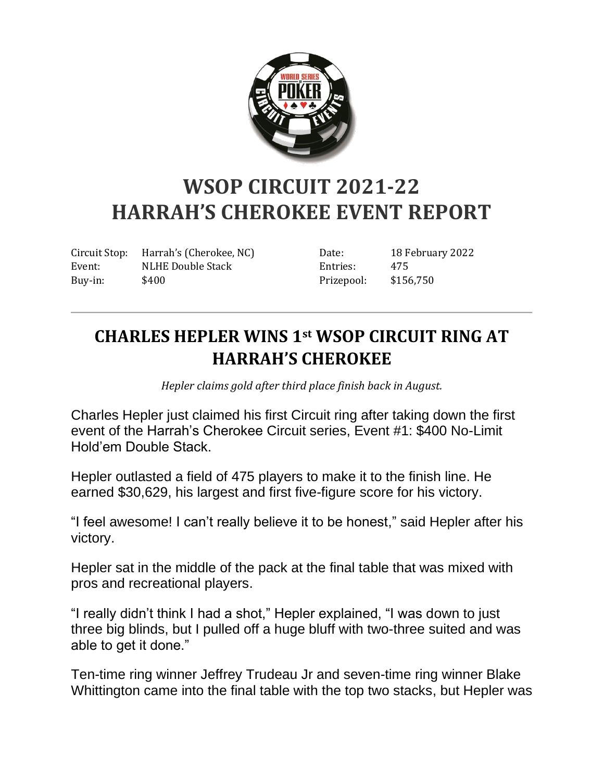

## **WSOP CIRCUIT 2021-22 HARRAH'S CHEROKEE EVENT REPORT**

Circuit Stop: Harrah's (Cherokee, NC) Event: NLHE Double Stack Buy-in: \$400

Date: 18 February 2022 Entries: 475 Prizepool: \$156,750

## **CHARLES HEPLER WINS 1st WSOP CIRCUIT RING AT HARRAH'S CHEROKEE**

*Hepler claims gold after third place finish back in August.*

Charles Hepler just claimed his first Circuit ring after taking down the first event of the Harrah's Cherokee Circuit series, Event #1: \$400 No-Limit Hold'em Double Stack.

Hepler outlasted a field of 475 players to make it to the finish line. He earned \$30,629, his largest and first five-figure score for his victory.

"I feel awesome! I can't really believe it to be honest," said Hepler after his victory.

Hepler sat in the middle of the pack at the final table that was mixed with pros and recreational players.

"I really didn't think I had a shot," Hepler explained, "I was down to just three big blinds, but I pulled off a huge bluff with two-three suited and was able to get it done."

Ten-time ring winner Jeffrey Trudeau Jr and seven-time ring winner Blake Whittington came into the final table with the top two stacks, but Hepler was